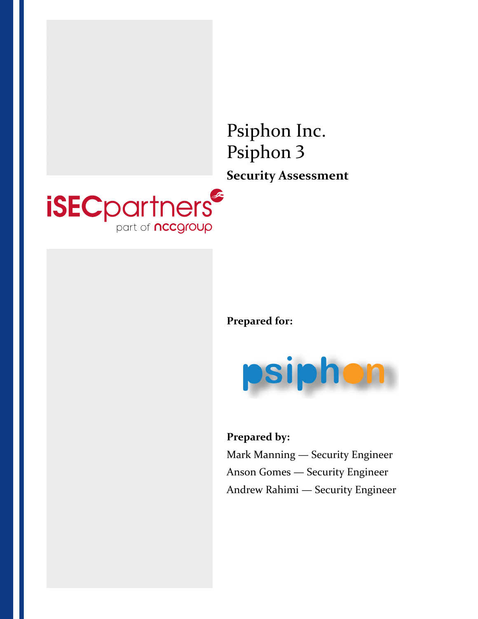

**Prepared for:**



**Prepared by:** Mark Manning — Security Engineer Anson Gomes — Security Engineer Andrew Rahimi — Security Engineer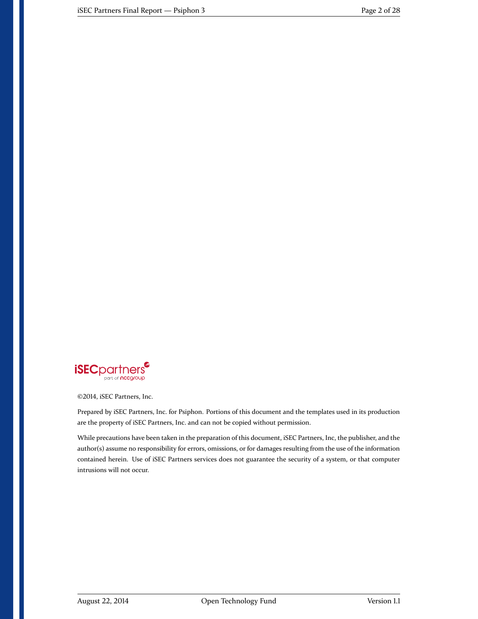

©2014, iSEC Partners, Inc.

Prepared by iSEC Partners, Inc. for Psiphon. Portions of this document and the templates used in its production are the property of iSEC Partners, Inc. and can not be copied without permission.

While precautions have been taken in the preparation of this document, iSEC Partners, Inc, the publisher, and the author(s) assume no responsibility for errors, omissions, or for damages resulting from the use of the information contained herein. Use of iSEC Partners services does not guarantee the security of a system, or that computer intrusions will not occur.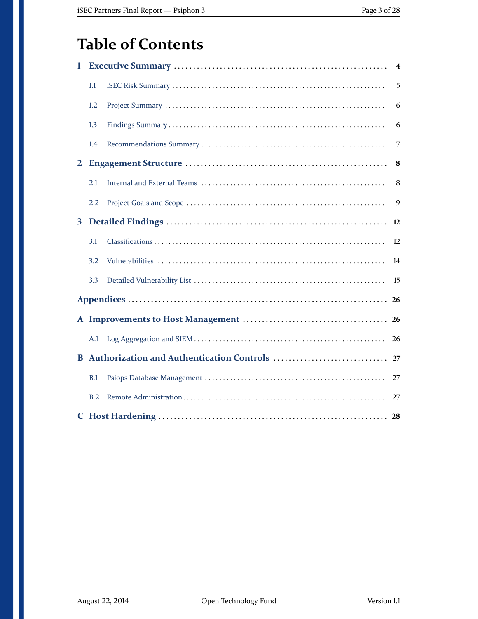# **Table of Contents**

| 1            | $\overline{\mathbf{4}}$ |  |           |  |  |
|--------------|-------------------------|--|-----------|--|--|
|              | 1.1                     |  | 5         |  |  |
|              | 1.2                     |  | 6         |  |  |
|              | 1.3                     |  | 6         |  |  |
|              | 1.4                     |  | 7         |  |  |
| $\mathbf{2}$ |                         |  | 8         |  |  |
|              | 2.1                     |  | 8         |  |  |
|              | 2.2                     |  | 9         |  |  |
| $\mathbf{3}$ |                         |  | 12        |  |  |
|              | 3.1                     |  | 12        |  |  |
|              | 3.2                     |  | 14        |  |  |
|              | 3.3                     |  | 15        |  |  |
|              | 26                      |  |           |  |  |
|              |                         |  | <b>26</b> |  |  |
|              | A.1                     |  | 26        |  |  |
|              |                         |  | 27        |  |  |
|              | B.1                     |  | 27        |  |  |
|              | B.2                     |  | 27        |  |  |
|              |                         |  |           |  |  |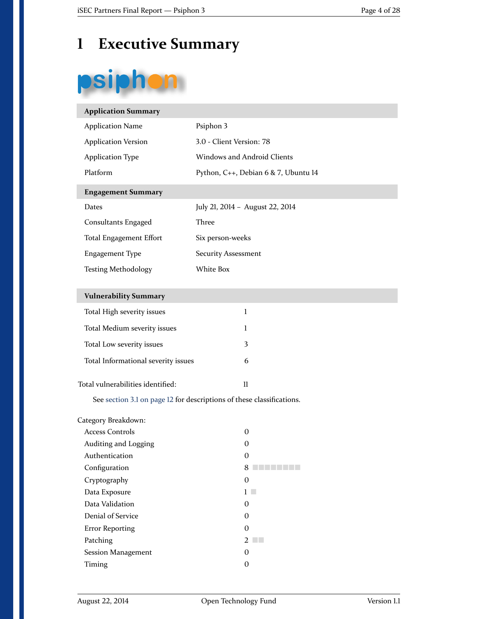# <span id="page-3-0"></span>**1 Executive Summary**

# psiphon

| <b>Application Summary</b>                                            |                                      |  |  |  |
|-----------------------------------------------------------------------|--------------------------------------|--|--|--|
| <b>Application Name</b>                                               | Psiphon 3                            |  |  |  |
| <b>Application Version</b>                                            | 3.0 - Client Version: 78             |  |  |  |
| <b>Application Type</b>                                               | <b>Windows and Android Clients</b>   |  |  |  |
| Platform                                                              | Python, C++, Debian 6 & 7, Ubuntu 14 |  |  |  |
| <b>Engagement Summary</b>                                             |                                      |  |  |  |
| Dates                                                                 | July 21, 2014 - August 22, 2014      |  |  |  |
| Consultants Engaged                                                   | Three                                |  |  |  |
| <b>Total Engagement Effort</b>                                        | Six person-weeks                     |  |  |  |
| <b>Engagement Type</b>                                                | <b>Security Assessment</b>           |  |  |  |
| <b>Testing Methodology</b>                                            | White Box                            |  |  |  |
|                                                                       |                                      |  |  |  |
| <b>Vulnerability Summary</b>                                          |                                      |  |  |  |
| Total High severity issues                                            | $\mathbf{1}$                         |  |  |  |
| Total Medium severity issues                                          | 1                                    |  |  |  |
| Total Low severity issues                                             | 3                                    |  |  |  |
| Total Informational severity issues                                   | 6                                    |  |  |  |
| Total vulnerabilities identified:                                     | $\mathbf{u}$                         |  |  |  |
| See section 3.1 on page 12 for descriptions of these classifications. |                                      |  |  |  |
| Category Breakdown:                                                   |                                      |  |  |  |

| Access Controls        | O |
|------------------------|---|
| Auditing and Logging   | 0 |
| Authentication         | O |
| Configuration          |   |
| Cryptography           | 0 |
| Data Exposure          |   |
| Data Validation        | 0 |
| Denial of Service      | 0 |
| <b>Error Reporting</b> | 0 |
| Patching               |   |
| Session Management     | 0 |
| Timing                 | O |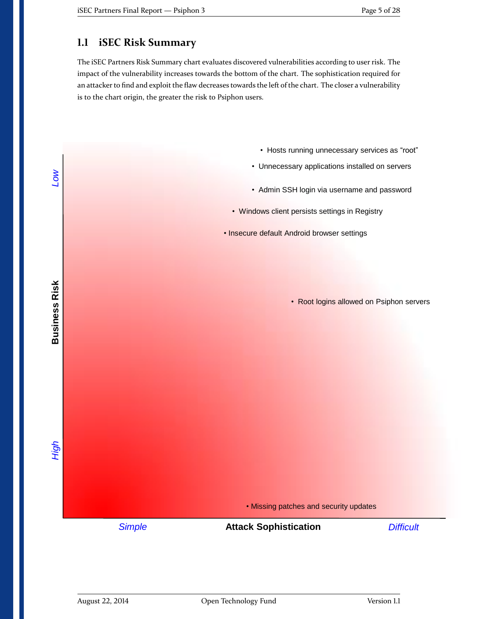## <span id="page-4-0"></span>**1.1 iSEC Risk Summary**

The iSEC Partners Risk Summary chart evaluates discovered vulnerabilities according to user risk. The impact of the vulnerability increases towards the bottom of the chart. The sophistication required for an attacker to find and exploit the flaw decreases towards the left of the chart. The closer a vulnerability is to the chart origin, the greater the risk to Psiphon users.

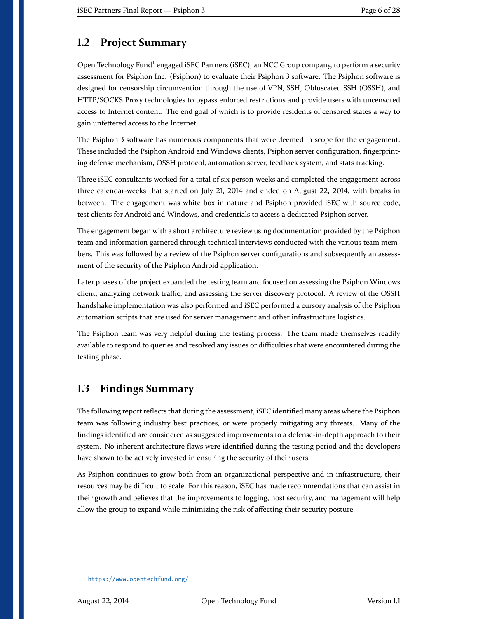## <span id="page-5-0"></span>**1.2 Project Summary**

Open Technology Fund<sup>[1](#page-5-2)</sup> engaged iSEC Partners (iSEC), an NCC Group company, to perform a security assessment for Psiphon Inc. (Psiphon) to evaluate their Psiphon 3 software. The Psiphon software is designed for censorship circumvention through the use of VPN, SSH, Obfuscated SSH (OSSH), and HTTP/SOCKS Proxy technologies to bypass enforced restrictions and provide users with uncensored access to Internet content. The end goal of which is to provide residents of censored states a way to gain unfettered access to the Internet.

The Psiphon 3 software has numerous components that were deemed in scope for the engagement. These included the Psiphon Android and Windows clients, Psiphon server configuration, fingerprinting defense mechanism, OSSH protocol, automation server, feedback system, and stats tracking.

Three iSEC consultants worked for a total of six person-weeks and completed the engagement across three calendar-weeks that started on July 21, 2014 and ended on August 22, 2014, with breaks in between. The engagement was white box in nature and Psiphon provided iSEC with source code, test clients for Android and Windows, and credentials to access a dedicated Psiphon server.

The engagement began with a short architecture review using documentation provided by the Psiphon team and information garnered through technical interviews conducted with the various team members. This was followed by a review of the Psiphon server configurations and subsequently an assessment of the security of the Psiphon Android application.

Later phases of the project expanded the testing team and focused on assessing the Psiphon Windows client, analyzing network traffic, and assessing the server discovery protocol. A review of the OSSH handshake implementation was also performed and iSEC performed a cursory analysis of the Psiphon automation scripts that are used for server management and other infrastructure logistics.

The Psiphon team was very helpful during the testing process. The team made themselves readily available to respond to queries and resolved any issues or difficulties that were encountered during the testing phase.

## <span id="page-5-1"></span>**1.3 Findings Summary**

The following report reflects that during the assessment, iSEC identified many areas where the Psiphon team was following industry best practices, or were properly mitigating any threats. Many of the findings identified are considered as suggested improvements to a defense-in-depth approach to their system. No inherent architecture flaws were identified during the testing period and the developers have shown to be actively invested in ensuring the security of their users.

As Psiphon continues to grow both from an organizational perspective and in infrastructure, their resources may be difficult to scale. For this reason, iSEC has made recommendations that can assist in their growth and believes that the improvements to logging, host security, and management will help allow the group to expand while minimizing the risk of affecting their security posture.

<span id="page-5-2"></span><sup>1</sup><https://www.opentechfund.org/>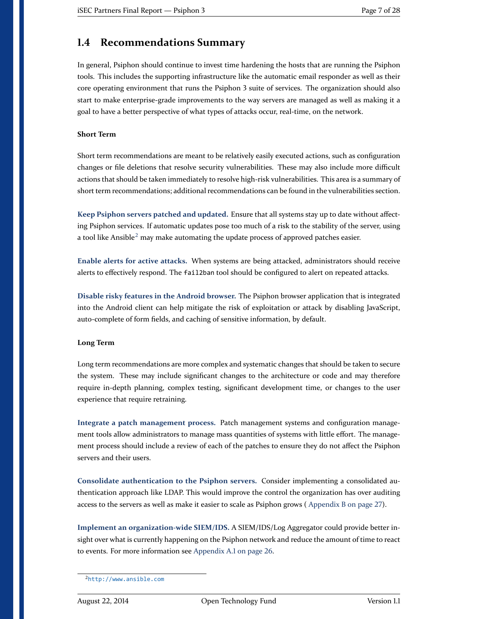## <span id="page-6-0"></span>**1.4 Recommendations Summary**

In general, Psiphon should continue to invest time hardening the hosts that are running the Psiphon tools. This includes the supporting infrastructure like the automatic email responder as well as their core operating environment that runs the Psiphon 3 suite of services. The organization should also start to make enterprise-grade improvements to the way servers are managed as well as making it a goal to have a better perspective of what types of attacks occur, real-time, on the network.

#### **Short Term**

Short term recommendations are meant to be relatively easily executed actions, such as configuration changes or file deletions that resolve security vulnerabilities. These may also include more difficult actions that should be taken immediately to resolve high-risk vulnerabilities. This area is a summary of short term recommendations; additional recommendations can be found in the vulnerabilities section.

**Keep Psiphon servers patched and updated.** [Ensure that all systems stay up to date without affect](#page-14-1)[ing Psiphon services. If automatic updates pose too much of a risk to the stability of the server, using](#page-14-1) a tool like Ansible<sup>[2](#page-6-1)</sup> [may make automating the update process of approved patches easier.](#page-14-1)

**Enable alerts for active attacks.** [When systems are being attacked, administrators should receive](#page-19-0) alerts to effectively respond. The fail2ban [tool should be configured to alert on repeated attacks.](#page-19-0)

**Disable risky features in the Android browser.** [The Psiphon browser application that is integrated](#page-22-0) [into the Android client can help mitigate the risk of exploitation or attack by disabling JavaScript,](#page-22-0) [auto-complete of form fields, and caching of sensitive information, by default.](#page-22-0)

#### **Long Term**

Long term recommendations are more complex and systematic changes that should be taken to secure the system. These may include significant changes to the architecture or code and may therefore require in-depth planning, complex testing, significant development time, or changes to the user experience that require retraining.

**Integrate a patch management process.** [Patch management systems and configuration manage](#page-14-1)[ment tools allow administrators to manage mass quantities of systems with little effort. The manage](#page-14-1)[ment process should include a review of each of the patches to ensure they do not affect the Psiphon](#page-14-1) [servers and their users.](#page-14-1)

**[Consolidate authentication to the Psiphon servers.](#page-16-0)** Consider implementing a consolidated au[thentication approach like LDAP. This would improve the control the organization has over auditing](#page-16-0) [access to the servers as well as make it easier to scale as Psiphon grows \(](#page-16-0) [Appendix B on page 27\)](#page-26-0).

**Implement an organization-wide SIEM/IDS.** [A SIEM/IDS/Log Aggregator could provide better in](#page-19-0)[sight over what is currently happening on the Psiphon network and reduce the amount of time to react](#page-19-0) [to events. For more information see](#page-19-0) [Appendix A.1 on page](#page-25-1) [26.](#page-25-1)

<span id="page-6-1"></span><sup>2</sup><http://www.ansible.com>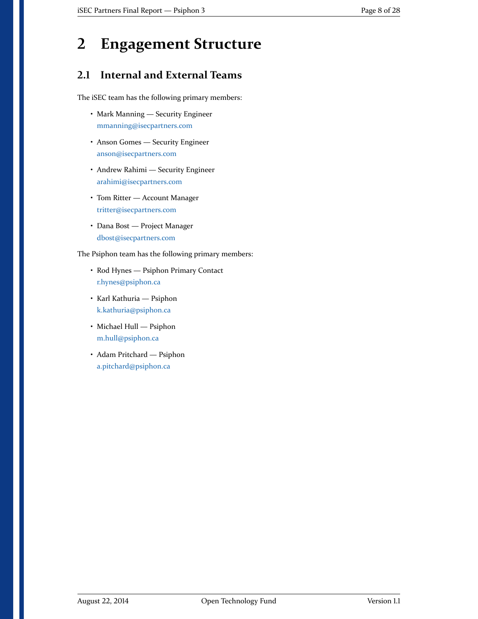# <span id="page-7-0"></span>**2 Engagement Structure**

## <span id="page-7-1"></span>**2.1 Internal and External Teams**

The iSEC team has the following primary members:

- Mark Manning Security Engineer [mmanning@isecpartners.com](mailto:mmanning@isecpartners.com)
- Anson Gomes Security Engineer [anson@isecpartners.com](mailto:anson@isecpartners.com)
- Andrew Rahimi Security Engineer [arahimi@isecpartners.com](mailto:arahimi@isecpartners.com)
- Tom Ritter Account Manager [tritter@isecpartners.com](mailto:tritter@isecpartners.com)
- Dana Bost Project Manager [dbost@isecpartners.com](mailto:dbost@isecpartners.com)

The Psiphon team has the following primary members:

- Rod Hynes Psiphon Primary Contact [r.hynes@psiphon.ca](mailto:r.hynes@psiphon.ca)
- Karl Kathuria Psiphon [k.kathuria@psiphon.ca](mailto:k.kathuria@psiphon.ca)
- Michael Hull Psiphon [m.hull@psiphon.ca](mailto:m.hull@psiphon.ca)
- Adam Pritchard Psiphon [a.pitchard@psiphon.ca](mailto:a.pitchard@psiphon.ca)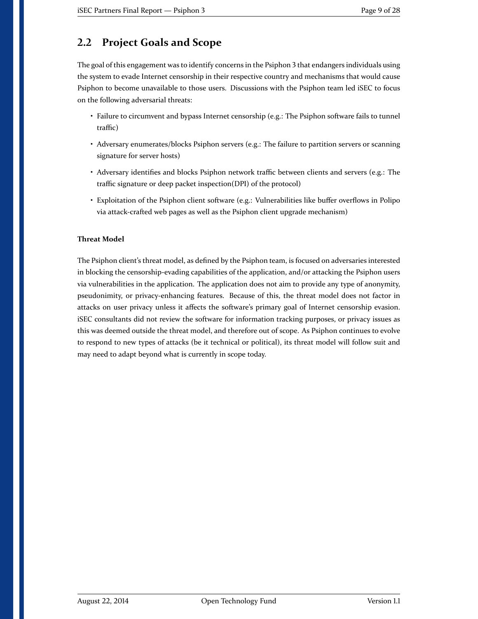## <span id="page-8-0"></span>**2.2 Project Goals and Scope**

The goal of this engagement was to identify concerns in the Psiphon 3 that endangers individuals using the system to evade Internet censorship in their respective country and mechanisms that would cause Psiphon to become unavailable to those users. Discussions with the Psiphon team led iSEC to focus on the following adversarial threats:

- Failure to circumvent and bypass Internet censorship (e.g.: The Psiphon software fails to tunnel traffic)
- Adversary enumerates/blocks Psiphon servers (e.g.: The failure to partition servers or scanning signature for server hosts)
- Adversary identifies and blocks Psiphon network traffic between clients and servers (e.g.: The traffic signature or deep packet inspection(DPI) of the protocol)
- Exploitation of the Psiphon client software (e.g.: Vulnerabilities like buffer overflows in Polipo via attack-crafted web pages as well as the Psiphon client upgrade mechanism)

#### **Threat Model**

The Psiphon client's threat model, as defined by the Psiphon team, is focused on adversaries interested in blocking the censorship-evading capabilities of the application, and/or attacking the Psiphon users via vulnerabilities in the application. The application does not aim to provide any type of anonymity, pseudonimity, or privacy-enhancing features. Because of this, the threat model does not factor in attacks on user privacy unless it affects the software's primary goal of Internet censorship evasion. iSEC consultants did not review the software for information tracking purposes, or privacy issues as this was deemed outside the threat model, and therefore out of scope. As Psiphon continues to evolve to respond to new types of attacks (be it technical or political), its threat model will follow suit and may need to adapt beyond what is currently in scope today.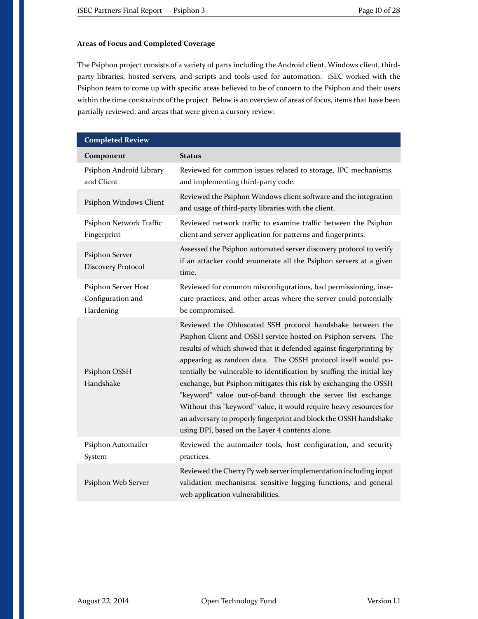#### **Areas of Focus and Completed Coverage**

The Psiphon project consists of a variety of parts including the Android client, Windows client, thirdparty libraries, hosted servers, and scripts and tools used for automation. iSEC worked with the Psiphon team to come up with specific areas believed to be of concern to the Psiphon and their users within the time constraints of the project. Below is an overview of areas of focus, items that have been partially reviewed, and areas that were given a cursory review:

| <b>Completed Review</b>                               |                                                                                                                                                                                                                                                                                                                                                                                                                                                                                                                                                                                                                                                                                |  |  |  |
|-------------------------------------------------------|--------------------------------------------------------------------------------------------------------------------------------------------------------------------------------------------------------------------------------------------------------------------------------------------------------------------------------------------------------------------------------------------------------------------------------------------------------------------------------------------------------------------------------------------------------------------------------------------------------------------------------------------------------------------------------|--|--|--|
| Component                                             | <b>Status</b>                                                                                                                                                                                                                                                                                                                                                                                                                                                                                                                                                                                                                                                                  |  |  |  |
| Psiphon Android Library<br>and Client                 | Reviewed for common issues related to storage, IPC mechanisms,<br>and implementing third-party code.                                                                                                                                                                                                                                                                                                                                                                                                                                                                                                                                                                           |  |  |  |
| Psiphon Windows Client                                | Reviewed the Psiphon Windows client software and the integration<br>and usage of third-party libraries with the client.                                                                                                                                                                                                                                                                                                                                                                                                                                                                                                                                                        |  |  |  |
| Psiphon Network Traffic<br>Fingerprint                | Reviewed network traffic to examine traffic between the Psiphon<br>client and server application for patterns and fingerprints.                                                                                                                                                                                                                                                                                                                                                                                                                                                                                                                                                |  |  |  |
| Psiphon Server<br>Discovery Protocol                  | Assessed the Psiphon automated server discovery protocol to verify<br>if an attacker could enumerate all the Psiphon servers at a given<br>time.                                                                                                                                                                                                                                                                                                                                                                                                                                                                                                                               |  |  |  |
| Psiphon Server Host<br>Configuration and<br>Hardening | Reviewed for common misconfigurations, bad permissioning, inse-<br>cure practices, and other areas where the server could potentially<br>be compromised.                                                                                                                                                                                                                                                                                                                                                                                                                                                                                                                       |  |  |  |
| Psiphon OSSH<br>Handshake                             | Reviewed the Obfuscated SSH protocol handshake between the<br>Psiphon Client and OSSH service hosted on Psiphon servers. The<br>results of which showed that it defended against fingerprinting by<br>appearing as random data. The OSSH protocol itself would po-<br>tentially be vulnerable to identification by sniffing the initial key<br>exchange, but Psiphon mitigates this risk by exchanging the OSSH<br>"keyword" value out-of-band through the server list exchange.<br>Without this "keyword" value, it would require heavy resources for<br>an adversary to properly fingerprint and block the OSSH handshake<br>using DPI, based on the Layer 4 contents alone. |  |  |  |
| Psiphon Automailer<br>System                          | Reviewed the automailer tools, host configuration, and security<br>practices.                                                                                                                                                                                                                                                                                                                                                                                                                                                                                                                                                                                                  |  |  |  |
| Psiphon Web Server                                    | Reviewed the Cherry Py web server implementation including input<br>validation mechanisms, sensitive logging functions, and general<br>web application vulnerabilities.                                                                                                                                                                                                                                                                                                                                                                                                                                                                                                        |  |  |  |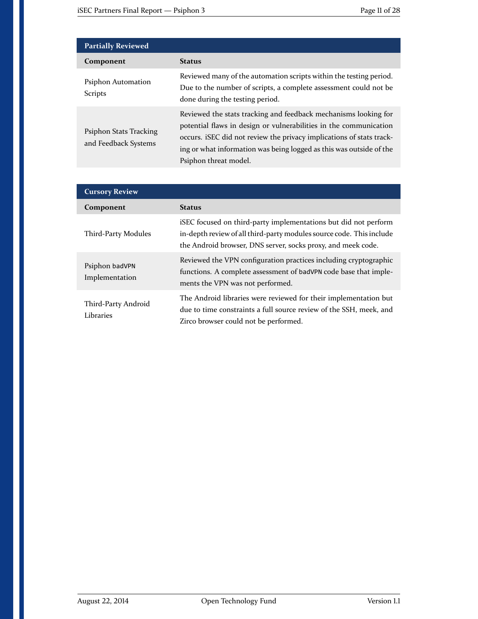| <b>Partially Reviewed</b>                      |                                                                                                                                                                                                                                                                                                              |  |  |
|------------------------------------------------|--------------------------------------------------------------------------------------------------------------------------------------------------------------------------------------------------------------------------------------------------------------------------------------------------------------|--|--|
| Component                                      | <b>Status</b>                                                                                                                                                                                                                                                                                                |  |  |
| Psiphon Automation<br><b>Scripts</b>           | Reviewed many of the automation scripts within the testing period.<br>Due to the number of scripts, a complete assessment could not be<br>done during the testing period.                                                                                                                                    |  |  |
| Psiphon Stats Tracking<br>and Feedback Systems | Reviewed the stats tracking and feedback mechanisms looking for<br>potential flaws in design or vulnerabilities in the communication<br>occurs. iSEC did not review the privacy implications of stats track-<br>ing or what information was being logged as this was outside of the<br>Psiphon threat model. |  |  |

| <b>Cursory Review</b>            |                                                                                                                                                                                                         |  |  |
|----------------------------------|---------------------------------------------------------------------------------------------------------------------------------------------------------------------------------------------------------|--|--|
| Component                        | <b>Status</b>                                                                                                                                                                                           |  |  |
| Third-Party Modules              | iSEC focused on third-party implementations but did not perform<br>in-depth review of all third-party modules source code. This include<br>the Android browser, DNS server, socks proxy, and meek code. |  |  |
| Psiphon badVPN<br>Implementation | Reviewed the VPN configuration practices including cryptographic<br>functions. A complete assessment of badVPN code base that imple-<br>ments the VPN was not performed.                                |  |  |
| Third-Party Android<br>Libraries | The Android libraries were reviewed for their implementation but<br>due to time constraints a full source review of the SSH, meek, and<br>Zirco browser could not be performed.                         |  |  |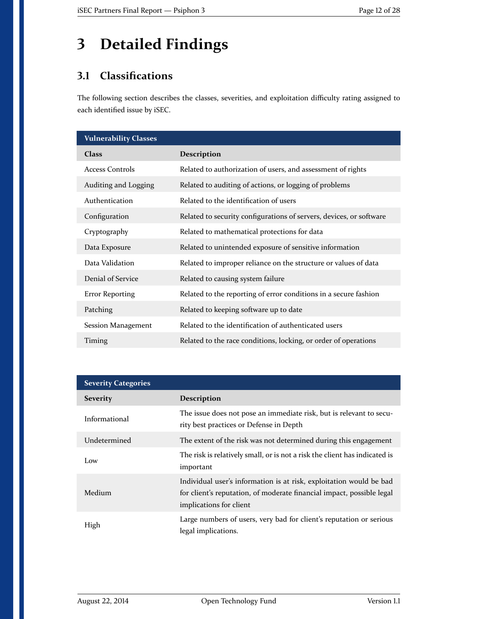# <span id="page-11-0"></span>**3 Detailed Findings**

## <span id="page-11-1"></span>**3.1 Classifications**

The following section describes the classes, severities, and exploitation difficulty rating assigned to each identified issue by iSEC.

| <b>Vulnerability Classes</b> |                                                                     |  |  |
|------------------------------|---------------------------------------------------------------------|--|--|
| <b>Class</b>                 | Description                                                         |  |  |
| <b>Access Controls</b>       | Related to authorization of users, and assessment of rights         |  |  |
| Auditing and Logging         | Related to auditing of actions, or logging of problems              |  |  |
| Authentication               | Related to the identification of users                              |  |  |
| Configuration                | Related to security configurations of servers, devices, or software |  |  |
| Cryptography                 | Related to mathematical protections for data                        |  |  |
| Data Exposure                | Related to unintended exposure of sensitive information             |  |  |
| Data Validation              | Related to improper reliance on the structure or values of data     |  |  |
| Denial of Service            | Related to causing system failure                                   |  |  |
| <b>Error Reporting</b>       | Related to the reporting of error conditions in a secure fashion    |  |  |
| Patching                     | Related to keeping software up to date                              |  |  |
| Session Management           | Related to the identification of authenticated users                |  |  |
| Timing                       | Related to the race conditions, locking, or order of operations     |  |  |

| <b>Severity Categories</b> |                                                                                                                                                                         |  |  |
|----------------------------|-------------------------------------------------------------------------------------------------------------------------------------------------------------------------|--|--|
| <b>Severity</b>            | <b>Description</b>                                                                                                                                                      |  |  |
| Informational              | The issue does not pose an immediate risk, but is relevant to secu-<br>rity best practices or Defense in Depth                                                          |  |  |
| Undetermined               | The extent of the risk was not determined during this engagement                                                                                                        |  |  |
| Low                        | The risk is relatively small, or is not a risk the client has indicated is<br>important                                                                                 |  |  |
| Medium                     | Individual user's information is at risk, exploitation would be bad<br>for client's reputation, of moderate financial impact, possible legal<br>implications for client |  |  |
| High                       | Large numbers of users, very bad for client's reputation or serious<br>legal implications.                                                                              |  |  |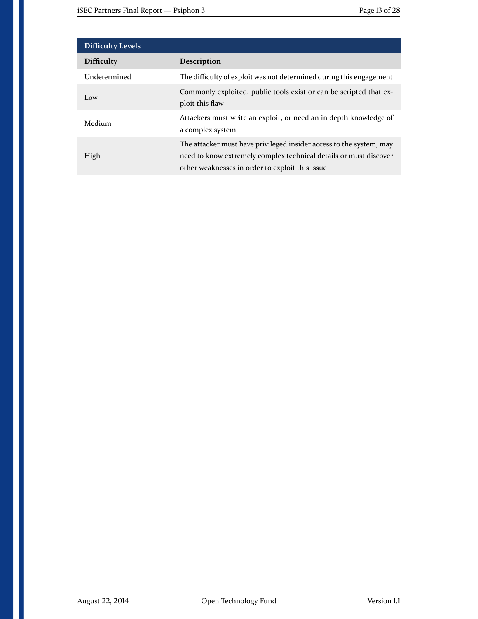| <b>Difficulty Levels</b> |                                                                                                                                                                                             |  |  |
|--------------------------|---------------------------------------------------------------------------------------------------------------------------------------------------------------------------------------------|--|--|
| <b>Difficulty</b>        | <b>Description</b>                                                                                                                                                                          |  |  |
| Undetermined             | The difficulty of exploit was not determined during this engagement                                                                                                                         |  |  |
| Low                      | Commonly exploited, public tools exist or can be scripted that ex-<br>ploit this flaw                                                                                                       |  |  |
| Medium                   | Attackers must write an exploit, or need an in depth knowledge of<br>a complex system                                                                                                       |  |  |
| High                     | The attacker must have privileged insider access to the system, may<br>need to know extremely complex technical details or must discover<br>other weaknesses in order to exploit this issue |  |  |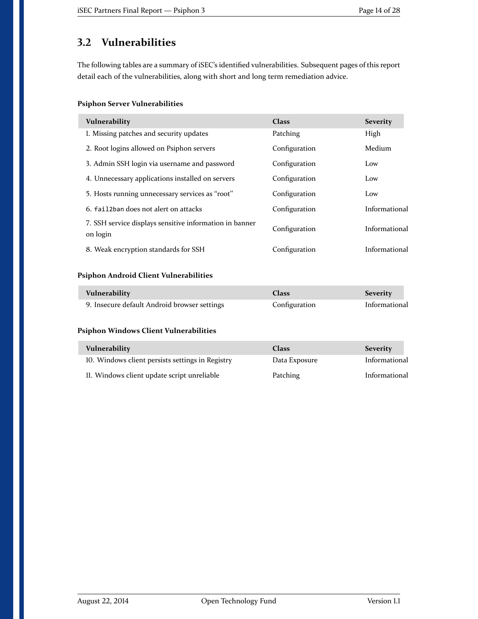## <span id="page-13-0"></span>**3.2 Vulnerabilities**

The following tables are a summary of iSEC's identified vulnerabilities. Subsequent pages of this report detail each of the vulnerabilities, along with short and long term remediation advice.

#### **Psiphon Server Vulnerabilities**

| Vulnerability                                                       | <b>Class</b>  | <b>Severity</b> |
|---------------------------------------------------------------------|---------------|-----------------|
| 1. Missing patches and security updates                             | Patching      | High            |
| 2. Root logins allowed on Psiphon servers                           | Configuration | Medium          |
| 3. Admin SSH login via username and password                        | Configuration | Low             |
| 4. Unnecessary applications installed on servers                    | Configuration | Low             |
| 5. Hosts running unnecessary services as "root"                     | Configuration | Low             |
| 6. fail2ban does not alert on attacks                               | Configuration | Informational   |
| 7. SSH service displays sensitive information in banner<br>on login | Configuration | Informational   |
| 8. Weak encryption standards for SSH                                | Configuration | Informational   |

#### **Psiphon Android Client Vulnerabilities**

| Vulnerability                                | <b>Class</b>  | <b>Severity</b> |
|----------------------------------------------|---------------|-----------------|
| 9. Insecure default Android browser settings | Configuration | Informational   |

#### **Psiphon Windows Client Vulnerabilities**

| Vulnerability                                    | Class         | <b>Severity</b> |
|--------------------------------------------------|---------------|-----------------|
| 10. Windows client persists settings in Registry | Data Exposure | Informational   |
| II. Windows client update script unreliable      | Patching      | Informational   |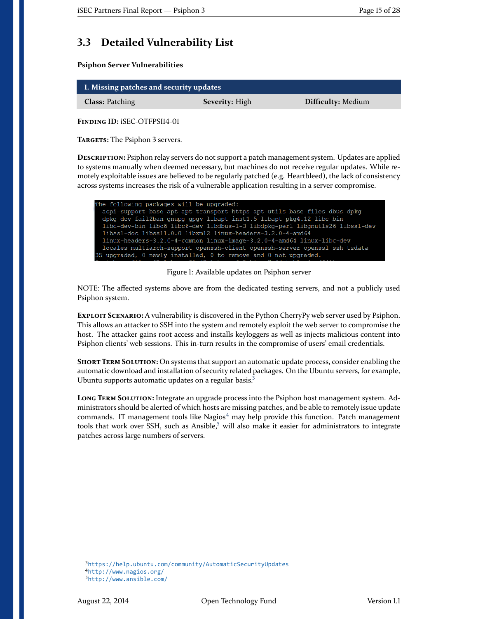## <span id="page-14-0"></span>**3.3 Detailed Vulnerability List**

**Psiphon Server Vulnerabilities**

<span id="page-14-1"></span>

| 1. Missing patches and security updates |                       |                           |
|-----------------------------------------|-----------------------|---------------------------|
| <b>Class: Patching</b>                  | <b>Severity:</b> High | <b>Difficulty: Medium</b> |

<span id="page-14-2"></span>**Finding ID:** iSEC-OTFPSI14-01

**Targets:** The Psiphon 3 servers.

**Description:** Psiphon relay servers do not support a patch management system. Updates are applied to systems manually when deemed necessary, but machines do not receive regular updates. While remotely exploitable issues are believed to be regularly patched (e.g. Heartbleed), the lack of consistency across systems increases the risk of a vulnerable application resulting in a server compromise.

| The following packages will be upgraded:                                     |
|------------------------------------------------------------------------------|
| acpi-support-base apt apt-transport-https apt-utils base-files dbus dpkg     |
| dpkg-dev fail2ban gnupg gpgv libapt-inst1.5 libapt-pkg4.12 libc-bin          |
| libc-dev-bin libc6 libc6-dev libdbus-1-3 libdpkg-perl libgnutls26 libss1-dev |
| libssl-doc libssl1.0.0 libxml2 linux-headers-3.2.0-4-amd64                   |
| linux-headers-3.2.0-4-common linux-image-3.2.0-4-amd64 linux-libc-dev        |
| locales multiarch-support openssh-client openssh-server openssl ssh tzdata   |
| 35 upgraded, 0 newly installed, 0 to remove and 0 not upgraded.              |
|                                                                              |

Figure 1: Available updates on Psiphon server

NOTE: The affected systems above are from the dedicated testing servers, and not a publicly used Psiphon system.

**Exploit Scenario:** A vulnerability is discovered in the Python CherryPy web server used by Psiphon. This allows an attacker to SSH into the system and remotely exploit the web server to compromise the host. The attacker gains root access and installs keyloggers as well as injects malicious content into Psiphon clients' web sessions. This in-turn results in the compromise of users' email credentials.

**Short Term Solution:** On systems that support an automatic update process, consider enabling the automatic download and installation of security related packages. On the Ubuntu servers, for example, Ubuntu supports automatic updates on a regular basis.<sup>[3](#page-14-3)</sup>

**Long Term Solution:** Integrate an upgrade process into the Psiphon host management system. Administrators should be alerted of which hosts are missing patches, and be able to remotely issue update commands. IT management tools like Nagios $4$  may help provide this function. Patch management tools that work over SSH, such as Ansible, $5$  will also make it easier for administrators to integrate patches across large numbers of servers.

<span id="page-14-4"></span><span id="page-14-3"></span><sup>3</sup><https://help.ubuntu.com/community/AutomaticSecurityUpdates> <sup>4</sup><http://www.nagios.org/>

<span id="page-14-5"></span><sup>5</sup><http://www.ansible.com/>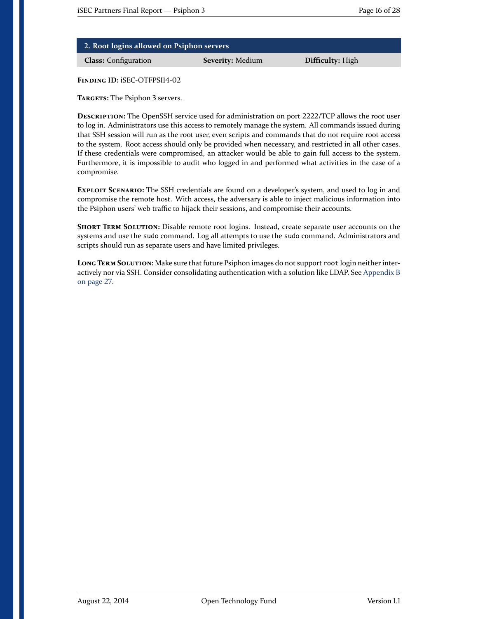| 2. Root logins allowed on Psiphon servers |
|-------------------------------------------|
|                                           |

**Class:** Configuration **Severity:** Medium **Difficulty:** High

<span id="page-15-0"></span>**Finding ID:** iSEC-OTFPSI14-02

**Targets:** The Psiphon 3 servers.

**Description:** The OpenSSH service used for administration on port 2222/TCP allows the root user to log in. Administrators use this access to remotely manage the system. All commands issued during that SSH session will run as the root user, even scripts and commands that do not require root access to the system. Root access should only be provided when necessary, and restricted in all other cases. If these credentials were compromised, an attacker would be able to gain full access to the system. Furthermore, it is impossible to audit who logged in and performed what activities in the case of a compromise.

**Exploit Scenario:** The SSH credentials are found on a developer's system, and used to log in and compromise the remote host. With access, the adversary is able to inject malicious information into the Psiphon users' web traffic to hijack their sessions, and compromise their accounts.

**Short Term Solution:** Disable remote root logins. Instead, create separate user accounts on the systems and use the sudo command. Log all attempts to use the sudo command. Administrators and scripts should run as separate users and have limited privileges.

**Long Term Solution:** Make sure that future Psiphon images do not support root login neither interactively nor via SSH. Consider consolidating authentication with a solution like LDAP. See [Appendix B](#page-26-0) [on page 27.](#page-26-0)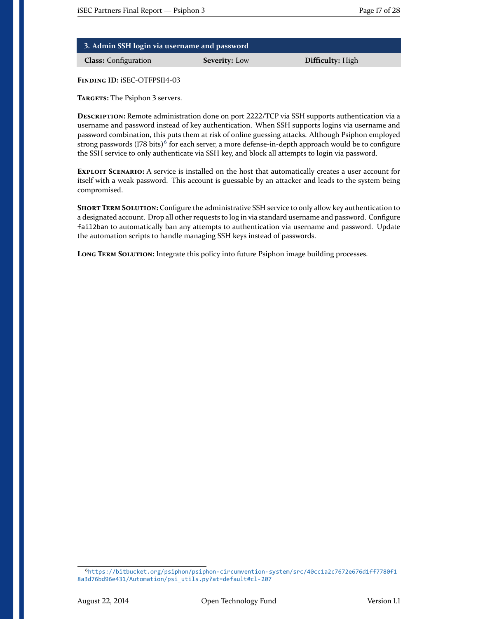<span id="page-16-0"></span>

| 3. Admin SSH login via username and password |                      |                  |
|----------------------------------------------|----------------------|------------------|
| <b>Class:</b> Configuration                  | <b>Severity:</b> Low | Difficulty: High |

<span id="page-16-1"></span>**Targets:** The Psiphon 3 servers.

**Description:** Remote administration done on port 2222/TCP via SSH supports authentication via a username and password instead of key authentication. When SSH supports logins via username and password combination, this puts them at risk of online guessing attacks. Although Psiphon employed strong passwords (178 bits) $^6$  $^6$  for each server, a more defense-in-depth approach would be to configure the SSH service to only authenticate via SSH key, and block all attempts to login via password.

**Exploit Scenario:** A service is installed on the host that automatically creates a user account for itself with a weak password. This account is guessable by an attacker and leads to the system being compromised.

**SHORT TERM SOLUTION:** Configure the administrative SSH service to only allow key authentication to a designated account. Drop all other requests to log in via standard username and password. Configure fail2ban to automatically ban any attempts to authentication via username and password. Update the automation scripts to handle managing SSH keys instead of passwords.

**Long Term Solution:** Integrate this policy into future Psiphon image building processes.

<span id="page-16-2"></span><sup>6</sup>[https://bitbucket.org/psiphon/psiphon-circumvention-system/src/40cc1a2c7672e676d1ff7780f1](https://bitbucket.org/psiphon/psiphon-circumvention-system/src/40cc1a2c7672e676d1ff7780f18a3d76bd96e431/Automation/psi_utils.py?at=default#cl-207) [8a3d76bd96e431/Automation/psi\\_utils.py?at=default#cl-207](https://bitbucket.org/psiphon/psiphon-circumvention-system/src/40cc1a2c7672e676d1ff7780f18a3d76bd96e431/Automation/psi_utils.py?at=default#cl-207)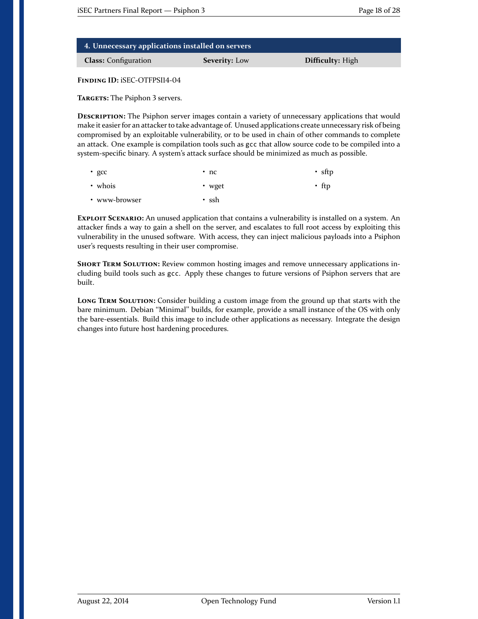| 4. Unnecessary applications installed on servers |                      |                         |
|--------------------------------------------------|----------------------|-------------------------|
| <b>Class:</b> Configuration                      | <b>Severity:</b> Low | <b>Difficulty:</b> High |

<span id="page-17-0"></span>**Targets:** The Psiphon 3 servers.

**Description:** The Psiphon server images contain a variety of unnecessary applications that would make it easier for an attacker to take advantage of. Unused applications create unnecessary risk of being compromised by an exploitable vulnerability, or to be used in chain of other commands to complete an attack. One example is compilation tools such as gcc that allow source code to be compiled into a system-specific binary. A system's attack surface should be minimized as much as possible.

| • $qcc$       | $\cdot$ nc | $\cdot$ sftp |
|---------------|------------|--------------|
| • whois       | • wget     | $\cdot$ ttp  |
| • www-browser | • ssh      |              |

**Exploit Scenario:** An unused application that contains a vulnerability is installed on a system. An attacker finds a way to gain a shell on the server, and escalates to full root access by exploiting this vulnerability in the unused software. With access, they can inject malicious payloads into a Psiphon user's requests resulting in their user compromise.

**SHORT TERM SOLUTION:** Review common hosting images and remove unnecessary applications including build tools such as gcc. Apply these changes to future versions of Psiphon servers that are built.

LONG TERM SOLUTION: Consider building a custom image from the ground up that starts with the bare minimum. Debian "Minimal" builds, for example, provide a small instance of the OS with only the bare-essentials. Build this image to include other applications as necessary. Integrate the design changes into future host hardening procedures.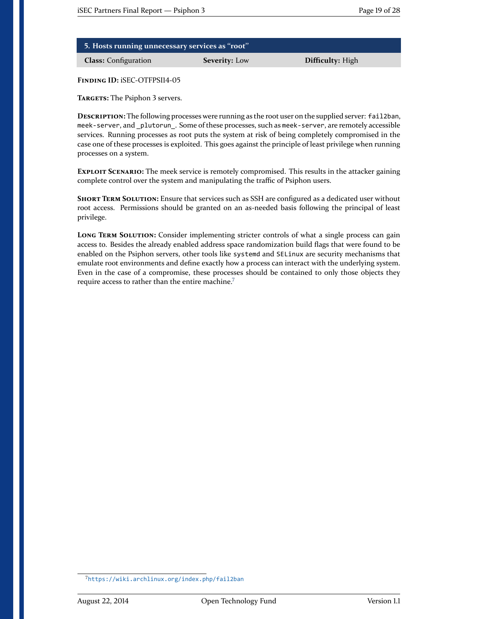| 5. Hosts running unnecessary services as "root" |                      |                  |
|-------------------------------------------------|----------------------|------------------|
| <b>Class:</b> Configuration                     | <b>Severity:</b> Low | Difficulty: High |

<span id="page-18-0"></span>**Targets:** The Psiphon 3 servers.

**Description:** The following processes were running as the root user on the supplied server: fail2ban, meek-server, and \_plutorun\_. Some of these processes, such as meek-server, are remotely accessible services. Running processes as root puts the system at risk of being completely compromised in the case one of these processes is exploited. This goes against the principle of least privilege when running processes on a system.

**Exploit Scenario:** The meek service is remotely compromised. This results in the attacker gaining complete control over the system and manipulating the traffic of Psiphon users.

**Short Term Solution:** Ensure that services such as SSH are configured as a dedicated user without root access. Permissions should be granted on an as-needed basis following the principal of least privilege.

**LONG TERM SOLUTION:** Consider implementing stricter controls of what a single process can gain access to. Besides the already enabled address space randomization build flags that were found to be enabled on the Psiphon servers, other tools like systemd and SELinux are security mechanisms that emulate root environments and define exactly how a process can interact with the underlying system. Even in the case of a compromise, these processes should be contained to only those objects they require access to rather than the entire machine.<sup>[7](#page-18-1)</sup>

<span id="page-18-1"></span><sup>7</sup><https://wiki.archlinux.org/index.php/fail2ban>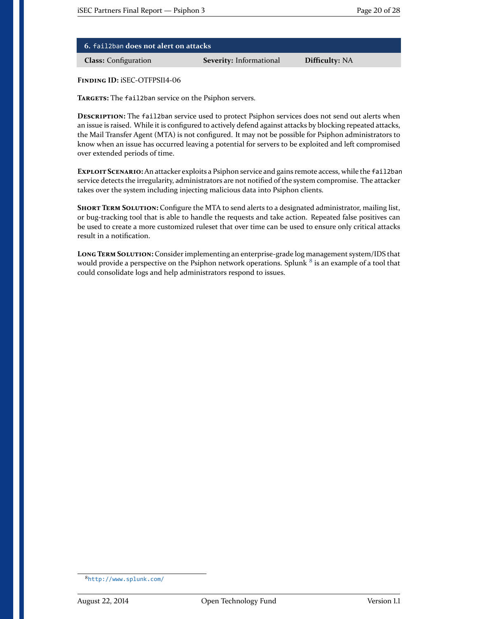<span id="page-19-0"></span>

| $\,$ 6. fail2ban does not alert on attacks $^{\prime}$ |                                |                       |
|--------------------------------------------------------|--------------------------------|-----------------------|
| <b>Class:</b> Configuration                            | <b>Severity:</b> Informational | <b>Difficulty: NA</b> |

<span id="page-19-1"></span>**Targets:** The fail2ban service on the Psiphon servers.

**Description:** The fail2ban service used to protect Psiphon services does not send out alerts when an issue is raised. While it is configured to actively defend against attacks by blocking repeated attacks, the Mail Transfer Agent (MTA) is not configured. It may not be possible for Psiphon administrators to know when an issue has occurred leaving a potential for servers to be exploited and left compromised over extended periods of time.

**Exploit Scenario:**An attacker exploits a Psiphon service and gains remote access, while the fail2ban service detects the irregularity, administrators are not notified of the system compromise. The attacker takes over the system including injecting malicious data into Psiphon clients.

**Short Term Solution:** Configure the MTA to send alerts to a designated administrator, mailing list, or bug-tracking tool that is able to handle the requests and take action. Repeated false positives can be used to create a more customized ruleset that over time can be used to ensure only critical attacks result in a notification.

**Long Term Solution:** Consider implementing an enterprise-grade log management system/IDS that would provide a perspective on the Psiphon network operations. Splunk  $^8$  $^8$  is an example of a tool that could consolidate logs and help administrators respond to issues.

<span id="page-19-2"></span><sup>8</sup><http://www.splunk.com/>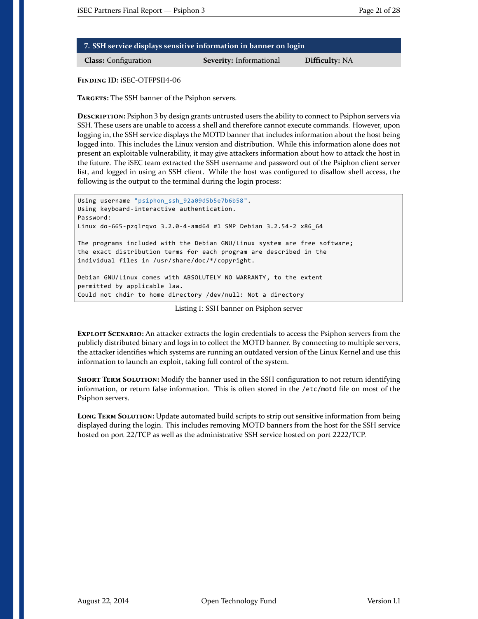| 7. SSH service displays sensitive information in banner on login |                         |                       |
|------------------------------------------------------------------|-------------------------|-----------------------|
| <b>Class:</b> Configuration                                      | Severity: Informational | <b>Difficulty: NA</b> |

<span id="page-20-0"></span>**Targets:** The SSH banner of the Psiphon servers.

**Description:** Psiphon 3 by design grants untrusted users the ability to connect to Psiphon servers via SSH. These users are unable to access a shell and therefore cannot execute commands. However, upon logging in, the SSH service displays the MOTD banner that includes information about the host being logged into. This includes the Linux version and distribution. While this information alone does not present an exploitable vulnerability, it may give attackers information about how to attack the host in the future. The iSEC team extracted the SSH username and password out of the Psiphon client server list, and logged in using an SSH client. While the host was configured to disallow shell access, the following is the output to the terminal during the login process:

```
Using username "psiphon_ssh_92a09d5b5e7b6b58".
Using keyboard-interactive authentication.
Password:
Linux do-665-pzqlrqvo 3.2.0-4-amd64 #1 SMP Debian 3.2.54-2 x86_64
The programs included with the Debian GNU/Linux system are free software;
the exact distribution terms for each program are described in the
individual files in /usr/share/doc/*/copyright.
Debian GNU/Linux comes with ABSOLUTELY NO WARRANTY, to the extent
permitted by applicable law.
Could not chdir to home directory /dev/null: Not a directory
```
Listing 1: SSH banner on Psiphon server

**Exploit Scenario:** An attacker extracts the login credentials to access the Psiphon servers from the publicly distributed binary and logs in to collect the MOTD banner. By connecting to multiple servers, the attacker identifies which systems are running an outdated version of the Linux Kernel and use this information to launch an exploit, taking full control of the system.

**SHORT TERM SOLUTION:** Modify the banner used in the SSH configuration to not return identifying information, or return false information. This is often stored in the /etc/motd file on most of the Psiphon servers.

LONG TERM SOLUTION: Update automated build scripts to strip out sensitive information from being displayed during the login. This includes removing MOTD banners from the host for the SSH service hosted on port 22/TCP as well as the administrative SSH service hosted on port 2222/TCP.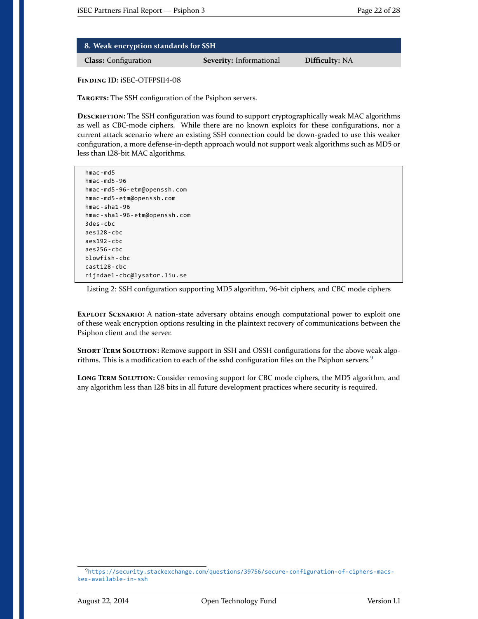| $-$ 8. Weak encryption standards for SSH $^\dagger$ |                                |                       |
|-----------------------------------------------------|--------------------------------|-----------------------|
| <b>Class:</b> Configuration                         | <b>Severity:</b> Informational | <b>Difficulty: NA</b> |

<span id="page-21-0"></span>TARGETS: The SSH configuration of the Psiphon servers.

**Description:** The SSH configuration was found to support cryptographically weak MAC algorithms as well as CBC-mode ciphers. While there are no known exploits for these configurations, nor a current attack scenario where an existing SSH connection could be down-graded to use this weaker configuration, a more defense-in-depth approach would not support weak algorithms such as MD5 or less than 128-bit MAC algorithms.

```
hmac-md5
hmac-md5-96
hmac-md5-96-etm@openssh.com
hmac-md5-etm@openssh.com
hmac-sha1-96
hmac-sha1-96-etm@openssh.com
3des-cbc
aes128-cbc
aes192-cbc
aes256-cbc
blowfish-cbc
cast128-cbc
rijndael-cbc@lysator.liu.se
```
Listing 2: SSH configuration supporting MD5 algorithm, 96-bit ciphers, and CBC mode ciphers

**Exploit Scenario:** A nation-state adversary obtains enough computational power to exploit one of these weak encryption options resulting in the plaintext recovery of communications between the Psiphon client and the server.

**SHORT TERM SOLUTION:** Remove support in SSH and OSSH configurations for the above weak algo-rithms. This is a modification to each of the sshd configuration files on the Psiphon servers.<sup>[9](#page-21-1)</sup>

**Long Term Solution:** Consider removing support for CBC mode ciphers, the MD5 algorithm, and any algorithm less than 128 bits in all future development practices where security is required.

<span id="page-21-1"></span><sup>9</sup>[https://security.stackexchange.com/questions/39756/secure-configuration-of-ciphers-macs](https://security.stackexchange.com/questions/39756/secure-configuration-of-ciphers-macs-kex-available-in-ssh)[kex-available-in-ssh](https://security.stackexchange.com/questions/39756/secure-configuration-of-ciphers-macs-kex-available-in-ssh)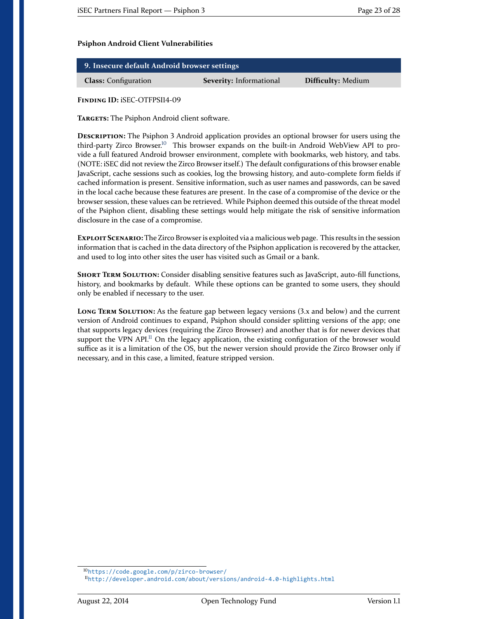#### **Psiphon Android Client Vulnerabilities**

<span id="page-22-0"></span>

| 9. Insecure default Android browser settings |                                |                           |
|----------------------------------------------|--------------------------------|---------------------------|
| <b>Class:</b> Configuration                  | <b>Severity:</b> Informational | <b>Difficulty: Medium</b> |

<span id="page-22-1"></span>**Finding ID:** iSEC-OTFPSI14-09

**Targets:** The Psiphon Android client software.

**DESCRIPTION:** The Psiphon 3 Android application provides an optional browser for users using the third-party Zirco Browser.[10](#page-22-2) This browser expands on the built-in Android WebView API to provide a full featured Android browser environment, complete with bookmarks, web history, and tabs. (NOTE: iSEC did not review the Zirco Browser itself.) The default configurations of this browser enable JavaScript, cache sessions such as cookies, log the browsing history, and auto-complete form fields if cached information is present. Sensitive information, such as user names and passwords, can be saved in the local cache because these features are present. In the case of a compromise of the device or the browser session, these values can be retrieved. While Psiphon deemed this outside of the threat model of the Psiphon client, disabling these settings would help mitigate the risk of sensitive information disclosure in the case of a compromise.

**Exploit Scenario:** The Zirco Browser is exploited via a malicious web page. This results in the session information that is cached in the data directory of the Psiphon application is recovered by the attacker, and used to log into other sites the user has visited such as Gmail or a bank.

**Short Term Solution:** Consider disabling sensitive features such as JavaScript, auto-fill functions, history, and bookmarks by default. While these options can be granted to some users, they should only be enabled if necessary to the user.

**Long Term Solution:** As the feature gap between legacy versions (3.x and below) and the current version of Android continues to expand, Psiphon should consider splitting versions of the app; one that supports legacy devices (requiring the Zirco Browser) and another that is for newer devices that support the VPN API.<sup>[11](#page-22-3)</sup> On the legacy application, the existing configuration of the browser would suffice as it is a limitation of the OS, but the newer version should provide the Zirco Browser only if necessary, and in this case, a limited, feature stripped version.

<span id="page-22-2"></span><sup>10</sup><https://code.google.com/p/zirco-browser/>

<span id="page-22-3"></span><sup>11</sup><http://developer.android.com/about/versions/android-4.0-highlights.html>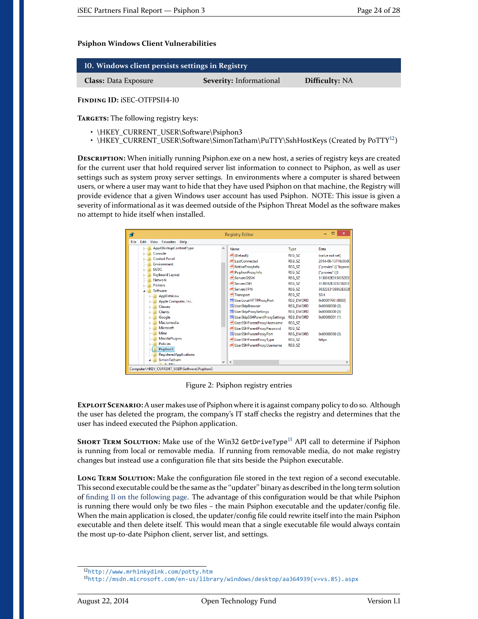#### **Psiphon Windows Client Vulnerabilities**

| 10. Windows client persists settings in Registry |                                |                       |
|--------------------------------------------------|--------------------------------|-----------------------|
| <b>Class:</b> Data Exposure                      | <b>Severity:</b> Informational | <b>Difficulty: NA</b> |

<span id="page-23-0"></span>**Finding ID:** iSEC-OTFPSI14-10

**Targets:** The following registry keys:

- \HKEY\_CURRENT\_USER\Software\Psiphon3
- \HKEY\_CURRENT\_USER\Software\SimonTatham\PuTTY\SshHostKeys (Created by PoTTY<sup>[12](#page-23-1)</sup>)

**Description:** When initially running Psiphon.exe on a new host, a series of registry keys are created for the current user that hold required server list information to connect to Psiphon, as well as user settings such as system proxy server settings. In environments where a computer is shared between users, or where a user may want to hide that they have used Psiphon on that machine, the Registry will provide evidence that a given Windows user account has used Psiphon. NOTE: This issue is given a severity of informational as it was deemed outside of the Psiphon Threat Model as the software makes no attempt to hide itself when installed.

| Ŵ    |                                                                                                                                                                                                                                                                                                                                                                                 |              | <b>Registry Editor</b>                                                                                                                                                                                                                                                                                                                                                                                                                                                                   |                                                                                                                                                                                                                                                                                                                      | $\mathsf{x}$<br>▭                                                                                                                                                                                                                                                              |
|------|---------------------------------------------------------------------------------------------------------------------------------------------------------------------------------------------------------------------------------------------------------------------------------------------------------------------------------------------------------------------------------|--------------|------------------------------------------------------------------------------------------------------------------------------------------------------------------------------------------------------------------------------------------------------------------------------------------------------------------------------------------------------------------------------------------------------------------------------------------------------------------------------------------|----------------------------------------------------------------------------------------------------------------------------------------------------------------------------------------------------------------------------------------------------------------------------------------------------------------------|--------------------------------------------------------------------------------------------------------------------------------------------------------------------------------------------------------------------------------------------------------------------------------|
| File | Edit<br>View<br>Favorites Help                                                                                                                                                                                                                                                                                                                                                  |              |                                                                                                                                                                                                                                                                                                                                                                                                                                                                                          |                                                                                                                                                                                                                                                                                                                      |                                                                                                                                                                                                                                                                                |
|      | AppXBackupContentType<br>D<br>Console<br><b>Control Panel</b><br>Environment<br><b>EUDC</b><br><b>Keyboard Layout</b><br><b>Network</b><br><b>Printers</b><br>Software<br>AppDataLow<br>Apple Computer, Inc.<br>Classes<br><b>Clients</b><br>Google<br>Macromedia<br>Microsoft<br>Mine<br><b>MozillaPlugins</b><br><b>Policies</b><br>Psiphon3<br><b>RegisteredApplications</b> | $\wedge$     | Name<br>ab (Default)<br>ab LastConnected<br>ab NativeProxyInfo<br>ab PsiphonProxyInfo<br>ab ServersOSSH<br>ab ServersSSH<br>ab ServersVPN<br>ab Transport<br><b>BU</b> UserLocalHTTPProxyPort<br><b>OUS</b> UserSkipBrowser<br><b>BUS</b> UserSkipProxySettings<br><b>BU UserSkipSSHP arentProxySettings</b><br>ab UserSSHParentProxyHostname<br>ab UserSSHParentProxvPassword<br><b>BUSICIAL USER SSHP</b> arentProxyPort<br>ab UserSSHParentProxyType<br>ab UserSSHParentProxyUsername | Type<br><b>REG SZ</b><br><b>REG SZ</b><br><b>REG SZ</b><br><b>REG SZ</b><br><b>REG SZ</b><br><b>REG SZ</b><br><b>REG SZ</b><br><b>REG SZ</b><br><b>REG DWORD</b><br><b>REG DWORD</b><br><b>REG DWORD</b><br><b>REG DWORD</b><br><b>REG SZ</b><br><b>REG SZ</b><br><b>REG DWORD</b><br><b>REG SZ</b><br><b>REG SZ</b> | Data<br>(value not set)<br>2014-08-13T16:00:00<br>{"proxies":[{"bypass"<br>{"proxies":[1}<br>3130362E3138352E3<br>3130392E3232382E31<br>38322E3139362E302I<br><b>SSH</b><br>0x00001f90 (8080)<br>0x00000000 (0)<br>0x00000000 (0)<br>0x00000001 (1)<br>0x00000000 (0)<br>https |
|      | SimonTatham<br>$n \pm m$                                                                                                                                                                                                                                                                                                                                                        | $\checkmark$ | $\epsilon$                                                                                                                                                                                                                                                                                                                                                                                                                                                                               |                                                                                                                                                                                                                                                                                                                      | $\rightarrow$                                                                                                                                                                                                                                                                  |
|      | Computer\HKEY_CURRENT_USER\Software\Psiphon3                                                                                                                                                                                                                                                                                                                                    |              |                                                                                                                                                                                                                                                                                                                                                                                                                                                                                          |                                                                                                                                                                                                                                                                                                                      |                                                                                                                                                                                                                                                                                |

Figure 2: Psiphon registry entries

**Exploit Scenario:** A user makes use of Psiphon where it is against company policy to do so. Although the user has deleted the program, the company's IT staff checks the registry and determines that the user has indeed executed the Psiphon application.

SHORT TERM SOLUTION: Make use of the Win32 GetDriveType<sup>[13](#page-23-2)</sup> API call to determine if Psiphon is running from local or removable media. If running from removable media, do not make registry changes but instead use a configuration file that sits beside the Psiphon executable.

**LONG TERM SOLUTION:** Make the configuration file stored in the text region of a second executable. This second executable could be the same as the "updater" binary as described in the long term solution of [finding 11 on the following page.](#page-24-0) The advantage of this configuration would be that while Psiphon is running there would only be two files – the main Psiphon executable and the updater/config file. When the main application is closed, the updater/config file could rewrite itself into the main Psiphon executable and then delete itself. This would mean that a single executable file would always contain the most up-to-date Psiphon client, server list, and settings.

<span id="page-23-1"></span><sup>12</sup><http://www.mrhinkydink.com/potty.htm>

<span id="page-23-2"></span><sup>13</sup>[http://msdn.microsoft.com/en-us/library/windows/desktop/aa364939\(v=vs.85\).aspx](http://msdn.microsoft.com/en-us/library/windows/desktop/aa364939(v=vs.85).aspx)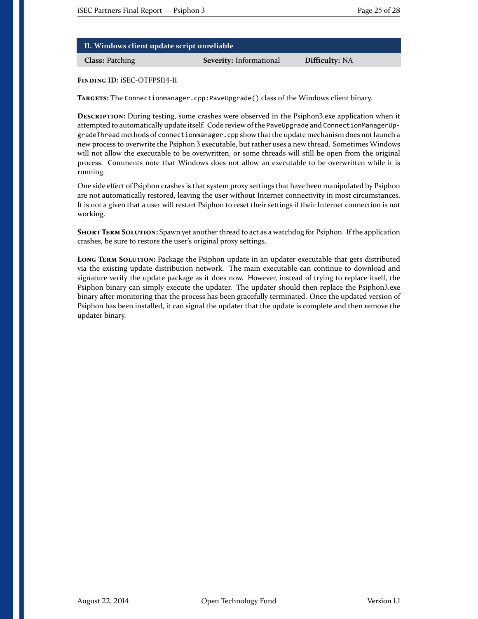| II. Windows client update script unreliable |  |
|---------------------------------------------|--|
|---------------------------------------------|--|

**Class:** Patching **Severity:** Informational **Difficulty:** NA

<span id="page-24-0"></span>**Finding ID:** iSEC-OTFPSI14-11

**Targets:** The Connectionmanager.cpp:PaveUpgrade() class of the Windows client binary.

**Description:** During testing, some crashes were observed in the Psiphon3.exe application when it attempted to automatically update itself. Code review of the PaveUpgrade and ConnectionManagerUpgradeThread methods of connectionmanager.cpp show that the update mechanism does not launch a new process to overwrite the Psiphon 3 executable, but rather uses a new thread. Sometimes Windows will not allow the executable to be overwritten, or some threads will still be open from the original process. Comments note that Windows does not allow an executable to be overwritten while it is running.

One side effect of Psiphon crashes is that system proxy settings that have been manipulated by Psiphon are not automatically restored, leaving the user without Internet connectivity in most circumstances. It is not a given that a user will restart Psiphon to reset their settings if their Internet connection is not working.

**SHORT TERM SOLUTION:** Spawn yet another thread to act as a watchdog for Psiphon. If the application crashes, be sure to restore the user's original proxy settings.

**Long Term Solution:** Package the Psiphon update in an updater executable that gets distributed via the existing update distribution network. The main executable can continue to download and signature verify the update package as it does now. However, instead of trying to replace itself, the Psiphon binary can simply execute the updater. The updater should then replace the Psiphon3.exe binary after monitoring that the process has been gracefully terminated. Once the updated version of Psiphon has been installed, it can signal the updater that the update is complete and then remove the updater binary.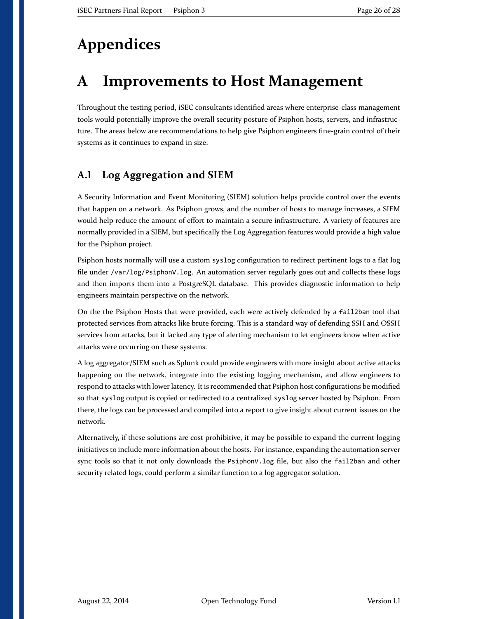# <span id="page-25-2"></span>**Appendices**

# <span id="page-25-0"></span>**A Improvements to Host Management**

Throughout the testing period, iSEC consultants identified areas where enterprise-class management tools would potentially improve the overall security posture of Psiphon hosts, servers, and infrastructure. The areas below are recommendations to help give Psiphon engineers fine-grain control of their systems as it continues to expand in size.

### <span id="page-25-1"></span>**A.1 Log Aggregation and SIEM**

A Security Information and Event Monitoring (SIEM) solution helps provide control over the events that happen on a network. As Psiphon grows, and the number of hosts to manage increases, a SIEM would help reduce the amount of effort to maintain a secure infrastructure. A variety of features are normally provided in a SIEM, but specifically the Log Aggregation features would provide a high value for the Psiphon project.

Psiphon hosts normally will use a custom syslog configuration to redirect pertinent logs to a flat log file under /var/log/PsiphonV.log. An automation server regularly goes out and collects these logs and then imports them into a PostgreSQL database. This provides diagnostic information to help engineers maintain perspective on the network.

On the the Psiphon Hosts that were provided, each were actively defended by a fail2ban tool that protected services from attacks like brute forcing. This is a standard way of defending SSH and OSSH services from attacks, but it lacked any type of alerting mechanism to let engineers know when active attacks were occurring on these systems.

A log aggregator/SIEM such as Splunk could provide engineers with more insight about active attacks happening on the network, integrate into the existing logging mechanism, and allow engineers to respond to attacks with lower latency. It is recommended that Psiphon host configurations be modified so that syslog output is copied or redirected to a centralized syslog server hosted by Psiphon. From there, the logs can be processed and compiled into a report to give insight about current issues on the network.

Alternatively, if these solutions are cost prohibitive, it may be possible to expand the current logging initiatives to include more information about the hosts. For instance, expanding the automation server sync tools so that it not only downloads the PsiphonV.log file, but also the fail2ban and other security related logs, could perform a similar function to a log aggregator solution.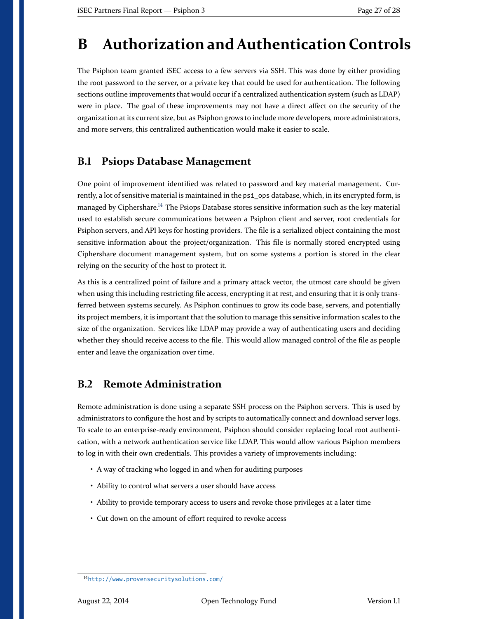## <span id="page-26-0"></span>**B Authorization and Authentication Controls**

The Psiphon team granted iSEC access to a few servers via SSH. This was done by either providing the root password to the server, or a private key that could be used for authentication. The following sections outline improvements that would occur if a centralized authentication system (such as LDAP) were in place. The goal of these improvements may not have a direct affect on the security of the organization at its current size, but as Psiphon grows to include more developers, more administrators, and more servers, this centralized authentication would make it easier to scale.

#### <span id="page-26-1"></span>**B.1 Psiops Database Management**

One point of improvement identified was related to password and key material management. Currently, a lot of sensitive material is maintained in the psi ops database, which, in its encrypted form, is managed by Ciphershare.<sup>[14](#page-26-3)</sup> The Psiops Database stores sensitive information such as the key material used to establish secure communications between a Psiphon client and server, root credentials for Psiphon servers, and API keys for hosting providers. The file is a serialized object containing the most sensitive information about the project/organization. This file is normally stored encrypted using Ciphershare document management system, but on some systems a portion is stored in the clear relying on the security of the host to protect it.

As this is a centralized point of failure and a primary attack vector, the utmost care should be given when using this including restricting file access, encrypting it at rest, and ensuring that it is only transferred between systems securely. As Psiphon continues to grow its code base, servers, and potentially its project members, it is important that the solution to manage this sensitive information scales to the size of the organization. Services like LDAP may provide a way of authenticating users and deciding whether they should receive access to the file. This would allow managed control of the file as people enter and leave the organization over time.

#### <span id="page-26-2"></span>**B.2 Remote Administration**

Remote administration is done using a separate SSH process on the Psiphon servers. This is used by administrators to configure the host and by scripts to automatically connect and download server logs. To scale to an enterprise-ready environment, Psiphon should consider replacing local root authentication, with a network authentication service like LDAP. This would allow various Psiphon members to log in with their own credentials. This provides a variety of improvements including:

- A way of tracking who logged in and when for auditing purposes
- Ability to control what servers a user should have access
- Ability to provide temporary access to users and revoke those privileges at a later time
- Cut down on the amount of effort required to revoke access

<span id="page-26-3"></span><sup>14</sup><http://www.provensecuritysolutions.com/>